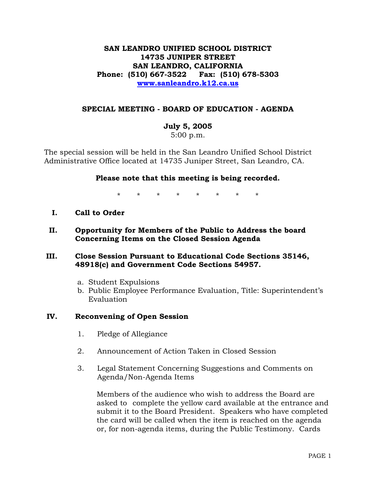# **SAN LEANDRO UNIFIED SCHOOL DISTRICT 14735 JUNIPER STREET SAN LEANDRO, CALIFORNIA Phone: (510) 667-3522 Fax: (510) 678-5303 [www.sanleandro.k12.ca.us](http://www.sanleandro.k12.ca.us/)**

## **SPECIAL MEETING - BOARD OF EDUCATION - AGENDA**

#### **July 5, 2005**

5:00 p.m.

The special session will be held in the San Leandro Unified School District Administrative Office located at 14735 Juniper Street, San Leandro, CA.

#### **Please note that this meeting is being recorded.**

\* \* \* \* \* \* \* \*

- **I. Call to Order**
- **II. Opportunity for Members of the Public to Address the board Concerning Items on the Closed Session Agenda**

#### **III. Close Session Pursuant to Educational Code Sections 35146, 48918(c) and Government Code Sections 54957.**

- a. Student Expulsions
- b. Public Employee Performance Evaluation, Title: Superintendent's Evaluation

#### **IV. Reconvening of Open Session**

- 1. Pledge of Allegiance
- 2. Announcement of Action Taken in Closed Session
- 3. Legal Statement Concerning Suggestions and Comments on Agenda/Non-Agenda Items

 Members of the audience who wish to address the Board are asked to complete the yellow card available at the entrance and submit it to the Board President. Speakers who have completed the card will be called when the item is reached on the agenda or, for non-agenda items, during the Public Testimony. Cards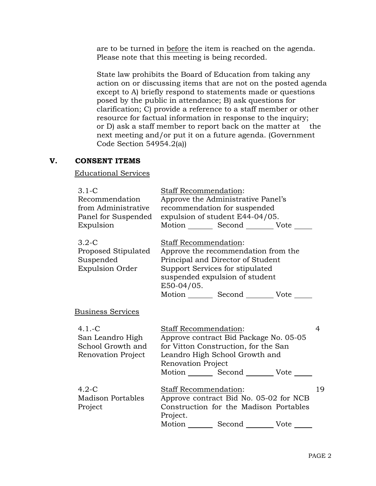are to be turned in before the item is reached on the agenda. Please note that this meeting is being recorded.

 State law prohibits the Board of Education from taking any action on or discussing items that are not on the posted agenda except to A) briefly respond to statements made or questions posed by the public in attendance; B) ask questions for clarification; C) provide a reference to a staff member or other resource for factual information in response to the inquiry; or D) ask a staff member to report back on the matter at the next meeting and/or put it on a future agenda. (Government Code Section  $54954.2$ (a))

## **V. CONSENT ITEMS**

#### Educational Services

| $3.1\text{-}C$<br>Recommendation<br>from Administrative<br>Panel for Suspended<br>Expulsion | <b>Staff Recommendation:</b><br>Approve the Administrative Panel's<br>recommendation for suspended<br>expulsion of student E44-04/05.<br>Motion _________ Second __________ Vote ______                                               |    |
|---------------------------------------------------------------------------------------------|---------------------------------------------------------------------------------------------------------------------------------------------------------------------------------------------------------------------------------------|----|
| $3.2 - C$<br>Proposed Stipulated<br>Suspended<br><b>Expulsion Order</b>                     | Staff Recommendation:<br>Approve the recommendation from the<br>Principal and Director of Student<br>Support Services for stipulated<br>suspended expulsion of student<br>E50-04/05.<br>Motion _________ Second _________ Vote ______ |    |
| <u>Business Services</u>                                                                    |                                                                                                                                                                                                                                       |    |
| $4.1 - C$<br>San Leandro High<br>School Growth and<br>Renovation Project                    | <b>Staff Recommendation:</b><br>Approve contract Bid Package No. 05-05<br>for Vitton Construction, for the San<br>Leandro High School Growth and<br>Renovation Project<br>Motion _________ Second __________ Vote ______              | 4  |
| $4.2-C$<br><b>Madison Portables</b><br>Project                                              | <b>Staff Recommendation:</b><br>Approve contract Bid No. 05-02 for NCB<br>Construction for the Madison Portables<br>Project.<br>Motion _________ Second __________ Vote ______                                                        | 19 |